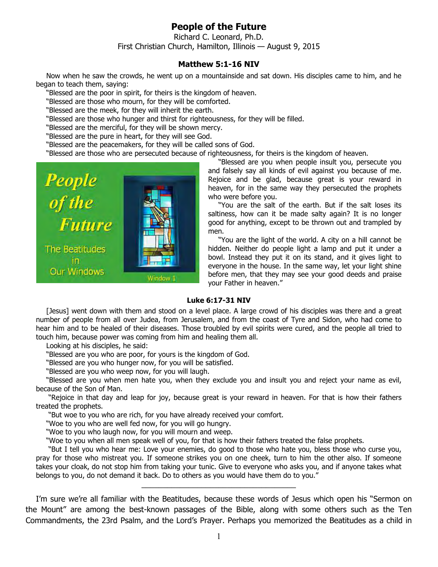## **People of the Future**

Richard C. Leonard, Ph.D. First Christian Church, Hamilton, Illinois — August 9, 2015

## **Matthew 5:1-16 NIV**

Now when he saw the crowds, he went up on a mountainside and sat down. His disciples came to him, and he began to teach them, saying:

"Blessed are the poor in spirit, for theirs is the kingdom of heaven.

"Blessed are those who mourn, for they will be comforted.

"Blessed are the meek, for they will inherit the earth.

"Blessed are those who hunger and thirst for righteousness, for they will be filled.

"Blessed are the merciful, for they will be shown mercy.

"Blessed are the pure in heart, for they will see God.

"Blessed are the peacemakers, for they will be called sons of God.

"Blessed are those who are persecuted because of righteousness, for theirs is the kingdom of heaven.



"Blessed are you when people insult you, persecute you and falsely say all kinds of evil against you because of me. Rejoice and be glad, because great is your reward in heaven, for in the same way they persecuted the prophets who were before you.

"You are the salt of the earth. But if the salt loses its saltiness, how can it be made salty again? It is no longer good for anything, except to be thrown out and trampled by men.

"You are the light of the world. A city on a hill cannot be hidden. Neither do people light a lamp and put it under a bowl. Instead they put it on its stand, and it gives light to everyone in the house. In the same way, let your light shine before men, that they may see your good deeds and praise your Father in heaven."

## **Luke 6:17-31 NIV**

[Jesus] went down with them and stood on a level place. A large crowd of his disciples was there and a great number of people from all over Judea, from Jerusalem, and from the coast of Tyre and Sidon, who had come to hear him and to be healed of their diseases. Those troubled by evil spirits were cured, and the people all tried to touch him, because power was coming from him and healing them all.

Looking at his disciples, he said:

"Blessed are you who are poor, for yours is the kingdom of God.

"Blessed are you who hunger now, for you will be satisfied.

"Blessed are you who weep now, for you will laugh.

"Blessed are you when men hate you, when they exclude you and insult you and reject your name as evil, because of the Son of Man.

 "Rejoice in that day and leap for joy, because great is your reward in heaven. For that is how their fathers treated the prophets.

"But woe to you who are rich, for you have already received your comfort.

"Woe to you who are well fed now, for you will go hungry.

"Woe to you who laugh now, for you will mourn and weep.

"Woe to you when all men speak well of you, for that is how their fathers treated the false prophets.

 "But I tell you who hear me: Love your enemies, do good to those who hate you, bless those who curse you, pray for those who mistreat you. If someone strikes you on one cheek, turn to him the other also. If someone takes your cloak, do not stop him from taking your tunic. Give to everyone who asks you, and if anyone takes what belongs to you, do not demand it back. Do to others as you would have them do to you."

\_\_\_\_\_\_\_\_\_\_\_\_\_\_\_\_\_\_\_\_\_\_\_\_\_\_\_\_\_\_\_\_\_\_\_\_

I'm sure we're all familiar with the Beatitudes, because these words of Jesus which open his "Sermon on the Mount" are among the best-known passages of the Bible, along with some others such as the Ten Commandments, the 23rd Psalm, and the Lord's Prayer. Perhaps you memorized the Beatitudes as a child in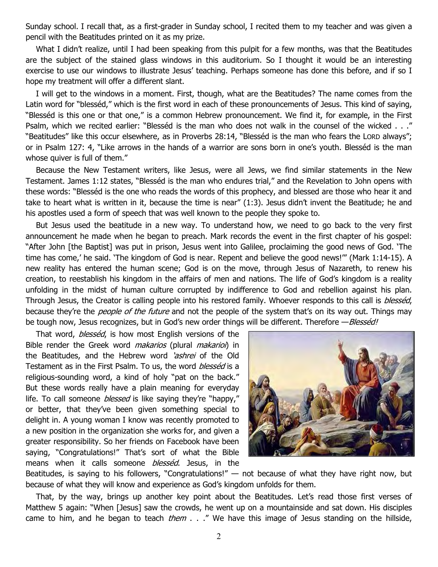Sunday school. I recall that, as a first-grader in Sunday school, I recited them to my teacher and was given a pencil with the Beatitudes printed on it as my prize.

What I didn't realize, until I had been speaking from this pulpit for a few months, was that the Beatitudes are the subject of the stained glass windows in this auditorium. So I thought it would be an interesting exercise to use our windows to illustrate Jesus' teaching. Perhaps someone has done this before, and if so I hope my treatment will offer a different slant.

I will get to the windows in a moment. First, though, what are the Beatitudes? The name comes from the Latin word for "blesséd," which is the first word in each of these pronouncements of Jesus. This kind of saying, "Blesséd is this one or that one," is a common Hebrew pronouncement. We find it, for example, in the First Psalm, which we recited earlier: "Blesséd is the man who does not walk in the counsel of the wicked . . ." "Beatitudes" like this occur elsewhere, as in Proverbs 28:14, "Blesséd is the man who fears the LORD always"; or in Psalm 127: 4, "Like arrows in the hands of a warrior are sons born in one's youth. Blesséd is the man whose quiver is full of them."

Because the New Testament writers, like Jesus, were all Jews, we find similar statements in the New Testament. James 1:12 states, "Blesséd is the man who endures trial," and the Revelation to John opens with these words: "Blesséd is the one who reads the words of this prophecy, and blessed are those who hear it and take to heart what is written in it, because the time is near" (1:3). Jesus didn't invent the Beatitude; he and his apostles used a form of speech that was well known to the people they spoke to.

But Jesus used the beatitude in a new way. To understand how, we need to go back to the very first announcement he made when he began to preach. Mark records the event in the first chapter of his gospel: "After John [the Baptist] was put in prison, Jesus went into Galilee, proclaiming the good news of God. 'The time has come,' he said. 'The kingdom of God is near. Repent and believe the good news!'" (Mark 1:14-15). A new reality has entered the human scene; God is on the move, through Jesus of Nazareth, to renew his creation, to reestablish his kingdom in the affairs of men and nations. The life of God's kingdom is a reality unfolding in the midst of human culture corrupted by indifference to God and rebellion against his plan. Through Jesus, the Creator is calling people into his restored family. Whoever responds to this call is *blesséd*, because they're the *people of the future* and not the people of the system that's on its way out. Things may be tough now, Jesus recognizes, but in God's new order things will be different. Therefore - Blesséd!

That word, *blesséd*, is how most English versions of the Bible render the Greek word *makarios* (plural *makarioi*) in the Beatitudes, and the Hebrew word *'ashrei* of the Old Testament as in the First Psalm. To us, the word blessed is a religious-sounding word, a kind of holy "pat on the back." But these words really have a plain meaning for everyday life. To call someone *blessed* is like saying they're "happy," or better, that they've been given something special to delight in. A young woman I know was recently promoted to a new position in the organization she works for, and given a greater responsibility. So her friends on Facebook have been saying, "Congratulations!" That's sort of what the Bible means when it calls someone *blesséd*. Jesus, in the



Beatitudes, is saying to his followers, "Congratulations!"  $-$  not because of what they have right now, but because of what they will know and experience as God's kingdom unfolds for them.

That, by the way, brings up another key point about the Beatitudes. Let's read those first verses of Matthew 5 again: "When [Jesus] saw the crowds, he went up on a mountainside and sat down. His disciples came to him, and he began to teach *them*  $\ldots$  " We have this image of Jesus standing on the hillside,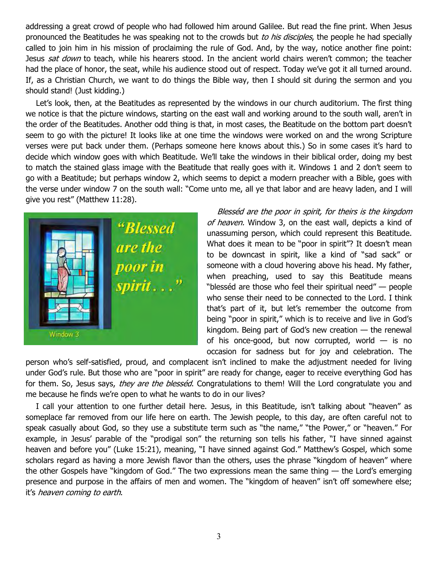addressing a great crowd of people who had followed him around Galilee. But read the fine print. When Jesus pronounced the Beatitudes he was speaking not to the crowds but to his disciples, the people he had specially called to join him in his mission of proclaiming the rule of God. And, by the way, notice another fine point: Jesus sat down to teach, while his hearers stood. In the ancient world chairs weren't common; the teacher had the place of honor, the seat, while his audience stood out of respect. Today we've got it all turned around. If, as a Christian Church, we want to do things the Bible way, then I should sit during the sermon and you should stand! (Just kidding.)

Let's look, then, at the Beatitudes as represented by the windows in our church auditorium. The first thing we notice is that the picture windows, starting on the east wall and working around to the south wall, aren't in the order of the Beatitudes. Another odd thing is that, in most cases, the Beatitude on the bottom part doesn't seem to go with the picture! It looks like at one time the windows were worked on and the wrong Scripture verses were put back under them. (Perhaps someone here knows about this.) So in some cases it's hard to decide which window goes with which Beatitude. We'll take the windows in their biblical order, doing my best to match the stained glass image with the Beatitude that really goes with it. Windows 1 and 2 don't seem to go with a Beatitude; but perhaps window 2, which seems to depict a modern preacher with a Bible, goes with the verse under window 7 on the south wall: "Come unto me, all ye that labor and are heavy laden, and I will give you rest" (Matthew 11:28).



Blesséd are the poor in spirit, for theirs is the kingdom of heaven. Window 3, on the east wall, depicts a kind of unassuming person, which could represent this Beatitude. What does it mean to be "poor in spirit"? It doesn't mean to be downcast in spirit, like a kind of "sad sack" or someone with a cloud hovering above his head. My father, when preaching, used to say this Beatitude means "blesséd are those who feel their spiritual need" — people who sense their need to be connected to the Lord. I think that's part of it, but let's remember the outcome from being "poor in spirit," which is to receive and live in God's kingdom. Being part of God's new creation — the renewal of his once-good, but now corrupted, world  $-$  is no occasion for sadness but for joy and celebration. The

person who's self-satisfied, proud, and complacent isn't inclined to make the adjustment needed for living under God's rule. But those who are "poor in spirit" are ready for change, eager to receive everything God has for them. So, Jesus says, they are the blessed. Congratulations to them! Will the Lord congratulate you and me because he finds we're open to what he wants to do in our lives?

I call your attention to one further detail here. Jesus, in this Beatitude, isn't talking about "heaven" as someplace far removed from our life here on earth. The Jewish people, to this day, are often careful not to speak casually about God, so they use a substitute term such as "the name," "the Power," or "heaven." For example, in Jesus' parable of the "prodigal son" the returning son tells his father, "I have sinned against heaven and before you" (Luke 15:21), meaning, "I have sinned against God." Matthew's Gospel, which some scholars regard as having a more Jewish flavor than the others, uses the phrase "kingdom of heaven" where the other Gospels have "kingdom of God." The two expressions mean the same thing — the Lord's emerging presence and purpose in the affairs of men and women. The "kingdom of heaven" isn't off somewhere else; it's heaven coming to earth.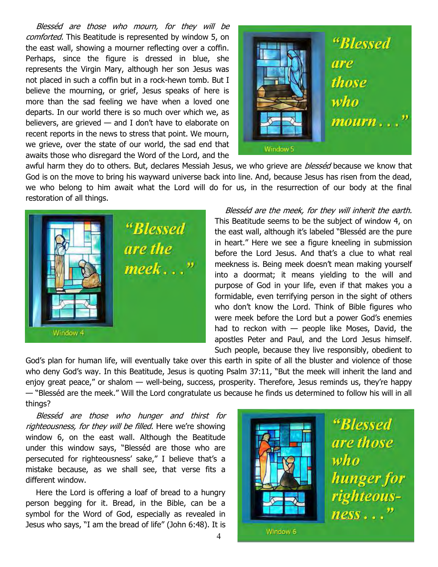Blesséd are those who mourn, for they will be comforted. This Beatitude is represented by window 5, on the east wall, showing a mourner reflecting over a coffin. Perhaps, since the figure is dressed in blue, she represents the Virgin Mary, although her son Jesus was not placed in such a coffin but in a rock-hewn tomb. But I believe the mourning, or grief, Jesus speaks of here is more than the sad feeling we have when a loved one departs. In our world there is so much over which we, as believers, are grieved — and I don't have to elaborate on recent reports in the news to stress that point. We mourn, we grieve, over the state of our world, the sad end that awaits those who disregard the Word of the Lord, and the



awful harm they do to others. But, declares Messiah Jesus, we who grieve are *blesséd* because we know that God is on the move to bring his wayward universe back into line. And, because Jesus has risen from the dead, we who belong to him await what the Lord will do for us, in the resurrection of our body at the final restoration of all things.



Blesséd are the meek, for they will inherit the earth. This Beatitude seems to be the subject of window 4, on the east wall, although it's labeled "Blesséd are the pure in heart." Here we see a figure kneeling in submission before the Lord Jesus. And that's a clue to what real meekness is. Being meek doesn't mean making yourself into a doormat; it means yielding to the will and purpose of God in your life, even if that makes you a formidable, even terrifying person in the sight of others who don't know the Lord. Think of Bible figures who were meek before the Lord but a power God's enemies had to reckon with  $-$  people like Moses, David, the apostles Peter and Paul, and the Lord Jesus himself. Such people, because they live responsibly, obedient to

God's plan for human life, will eventually take over this earth in spite of all the bluster and violence of those who deny God's way. In this Beatitude, Jesus is quoting Psalm 37:11, "But the meek will inherit the land and enjoy great peace," or shalom — well-being, success, prosperity. Therefore, Jesus reminds us, they're happy — "Blesséd are the meek." Will the Lord congratulate us because he finds us determined to follow his will in all things?

Blesséd are those who hunger and thirst for righteousness, for they will be filled. Here we're showing window 6, on the east wall. Although the Beatitude under this window says, "Blesséd are those who are persecuted for righteousness' sake," I believe that's a mistake because, as we shall see, that verse fits a different window.

Here the Lord is offering a loaf of bread to a hungry person begging for it. Bread, in the Bible, can be a symbol for the Word of God, especially as revealed in Jesus who says, "I am the bread of life" (John 6:48). It is

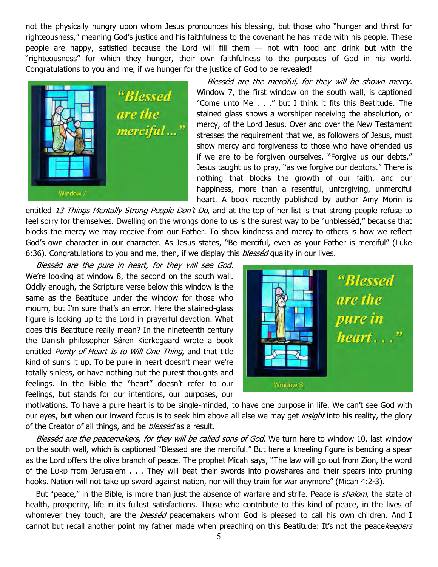not the physically hungry upon whom Jesus pronounces his blessing, but those who "hunger and thirst for righteousness," meaning God's justice and his faithfulness to the covenant he has made with his people. These people are happy, satisfied because the Lord will fill them — not with food and drink but with the "righteousness" for which they hunger, their own faithfulness to the purposes of God in his world. Congratulations to you and me, if we hunger for the justice of God to be revealed!



Blesséd are the merciful, for they will be shown mercy. Window 7, the first window on the south wall, is captioned "Come unto Me . . ." but I think it fits this Beatitude. The stained glass shows a worshiper receiving the absolution, or mercy, of the Lord Jesus. Over and over the New Testament stresses the requirement that we, as followers of Jesus, must show mercy and forgiveness to those who have offended us if we are to be forgiven ourselves. "Forgive us our debts," Jesus taught us to pray, "as we forgive our debtors." There is nothing that blocks the growth of our faith, and our happiness, more than a resentful, unforgiving, unmerciful heart. A book recently published by author Amy Morin is

entitled 13 Things Mentally Strong People Don't Do, and at the top of her list is that strong people refuse to feel sorry for themselves. Dwelling on the wrongs done to us is the surest way to be "unblesséd," because that blocks the mercy we may receive from our Father. To show kindness and mercy to others is how we reflect God's own character in our character. As Jesus states, "Be merciful, even as your Father is merciful" (Luke 6:36). Congratulations to you and me, then, if we display this *blesséd* quality in our lives.

Blesséd are the pure in heart, for they will see God. We're looking at window 8, the second on the south wall. Oddly enough, the Scripture verse below this window is the same as the Beatitude under the window for those who mourn, but I'm sure that's an error. Here the stained-glass figure is looking up to the Lord in prayerful devotion. What does this Beatitude really mean? In the nineteenth century the Danish philosopher Sǿren Kierkegaard wrote a book entitled Purity of Heart Is to Will One Thing, and that title kind of sums it up. To be pure in heart doesn't mean we're totally sinless, or have nothing but the purest thoughts and feelings. In the Bible the "heart" doesn't refer to our feelings, but stands for our intentions, our purposes, our



motivations. To have a pure heart is to be single-minded, to have one purpose in life. We can't see God with our eyes, but when our inward focus is to seek him above all else we may get *insight* into his reality, the glory of the Creator of all things, and be *blesséd* as a result.

Blesséd are the peacemakers, for they will be called sons of God. We turn here to window 10, last window on the south wall, which is captioned "Blessed are the merciful." But here a kneeling figure is bending a spear as the Lord offers the olive branch of peace. The prophet Micah says, "The law will go out from Zion, the word of the LORD from Jerusalem . . . They will beat their swords into plowshares and their spears into pruning hooks. Nation will not take up sword against nation, nor will they train for war anymore" (Micah 4:2-3).

But "peace," in the Bible, is more than just the absence of warfare and strife. Peace is *shalom*, the state of health, prosperity, life in its fullest satisfactions. Those who contribute to this kind of peace, in the lives of whomever they touch, are the *blesséd* peacemakers whom God is pleased to call his own children. And I cannot but recall another point my father made when preaching on this Beatitude: It's not the peacekeepers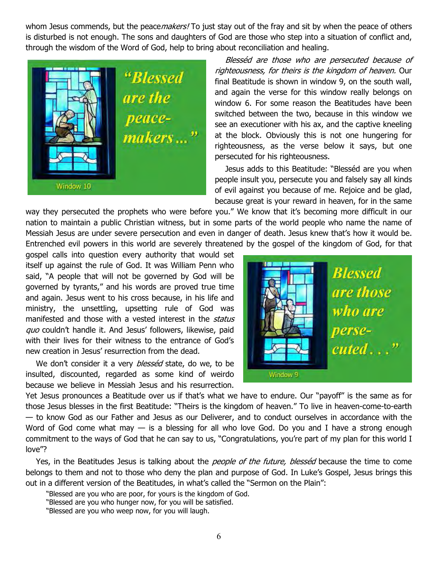whom Jesus commends, but the peace *makers!* To just stay out of the fray and sit by when the peace of others is disturbed is not enough. The sons and daughters of God are those who step into a situation of conflict and, through the wisdom of the Word of God, help to bring about reconciliation and healing.



Blesséd are those who are persecuted because of righteousness, for theirs is the kingdom of heaven. Our final Beatitude is shown in window 9, on the south wall, and again the verse for this window really belongs on window 6. For some reason the Beatitudes have been switched between the two, because in this window we see an executioner with his ax, and the captive kneeling at the block. Obviously this is not one hungering for righteousness, as the verse below it says, but one persecuted for his righteousness.

Jesus adds to this Beatitude: "Blesséd are you when people insult you, persecute you and falsely say all kinds of evil against you because of me. Rejoice and be glad, because great is your reward in heaven, for in the same

way they persecuted the prophets who were before you." We know that it's becoming more difficult in our nation to maintain a public Christian witness, but in some parts of the world people who name the name of Messiah Jesus are under severe persecution and even in danger of death. Jesus knew that's how it would be. Entrenched evil powers in this world are severely threatened by the gospel of the kingdom of God, for that

gospel calls into question every authority that would set itself up against the rule of God. It was William Penn who said, "A people that will not be governed by God will be governed by tyrants," and his words are proved true time and again. Jesus went to his cross because, in his life and ministry, the unsettling, upsetting rule of God was manifested and those with a vested interest in the status quo couldn't handle it. And Jesus' followers, likewise, paid with their lives for their witness to the entrance of God's new creation in Jesus' resurrection from the dead.

We don't consider it a very *blesséd* state, do we, to be insulted, discounted, regarded as some kind of weirdo because we believe in Messiah Jesus and his resurrection.



Yet Jesus pronounces a Beatitude over us if that's what we have to endure. Our "payoff" is the same as for those Jesus blesses in the first Beatitude: "Theirs is the kingdom of heaven." To live in heaven-come-to-earth — to know God as our Father and Jesus as our Deliverer, and to conduct ourselves in accordance with the Word of God come what may  $-$  is a blessing for all who love God. Do you and I have a strong enough commitment to the ways of God that he can say to us, "Congratulations, you're part of my plan for this world I love"?

Yes, in the Beatitudes Jesus is talking about the *people of the future, blesséd* because the time to come belongs to them and not to those who deny the plan and purpose of God. In Luke's Gospel, Jesus brings this out in a different version of the Beatitudes, in what's called the "Sermon on the Plain":

"Blessed are you who are poor, for yours is the kingdom of God.

"Blessed are you who hunger now, for you will be satisfied.

"Blessed are you who weep now, for you will laugh.